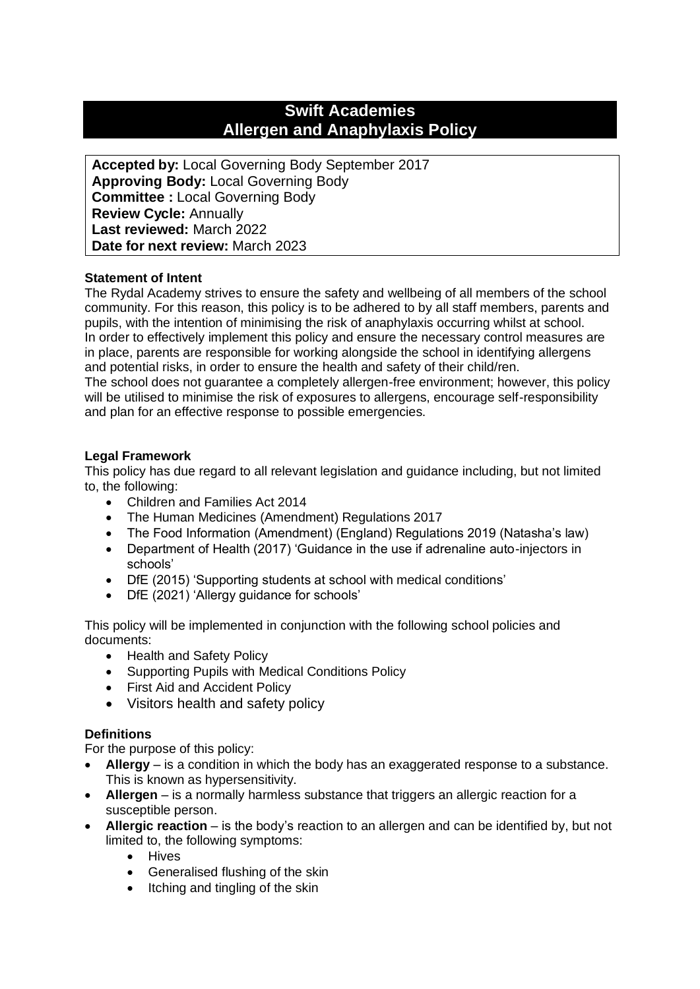# **Swift Academies Allergen and Anaphylaxis Policy**

**Accepted by:** Local Governing Body September 2017 **Approving Body:** Local Governing Body **Committee :** Local Governing Body **Review Cycle:** Annually **Last reviewed:** March 2022 **Date for next review:** March 2023

## **Statement of Intent**

The Rydal Academy strives to ensure the safety and wellbeing of all members of the school community. For this reason, this policy is to be adhered to by all staff members, parents and pupils, with the intention of minimising the risk of anaphylaxis occurring whilst at school. In order to effectively implement this policy and ensure the necessary control measures are in place, parents are responsible for working alongside the school in identifying allergens and potential risks, in order to ensure the health and safety of their child/ren. The school does not guarantee a completely allergen-free environment; however, this policy will be utilised to minimise the risk of exposures to allergens, encourage self-responsibility and plan for an effective response to possible emergencies.

## **Legal Framework**

This policy has due regard to all relevant legislation and guidance including, but not limited to, the following:

- Children and Families Act 2014
- The Human Medicines (Amendment) Regulations 2017
- The Food Information (Amendment) (England) Regulations 2019 (Natasha's law)
- Department of Health (2017) 'Guidance in the use if adrenaline auto-injectors in schools'
- DfE (2015) 'Supporting students at school with medical conditions'
- DfE (2021) 'Allergy guidance for schools'

This policy will be implemented in conjunction with the following school policies and documents:

- Health and Safety Policy
- Supporting Pupils with Medical Conditions Policy
- First Aid and Accident Policy
- Visitors health and safety policy

## **Definitions**

For the purpose of this policy:

- **Allergy** is a condition in which the body has an exaggerated response to a substance. This is known as hypersensitivity.
- **Allergen** is a normally harmless substance that triggers an allergic reaction for a susceptible person.
- **Allergic reaction** is the body's reaction to an allergen and can be identified by, but not limited to, the following symptoms:
	- Hives
	- Generalised flushing of the skin
	- Itching and tingling of the skin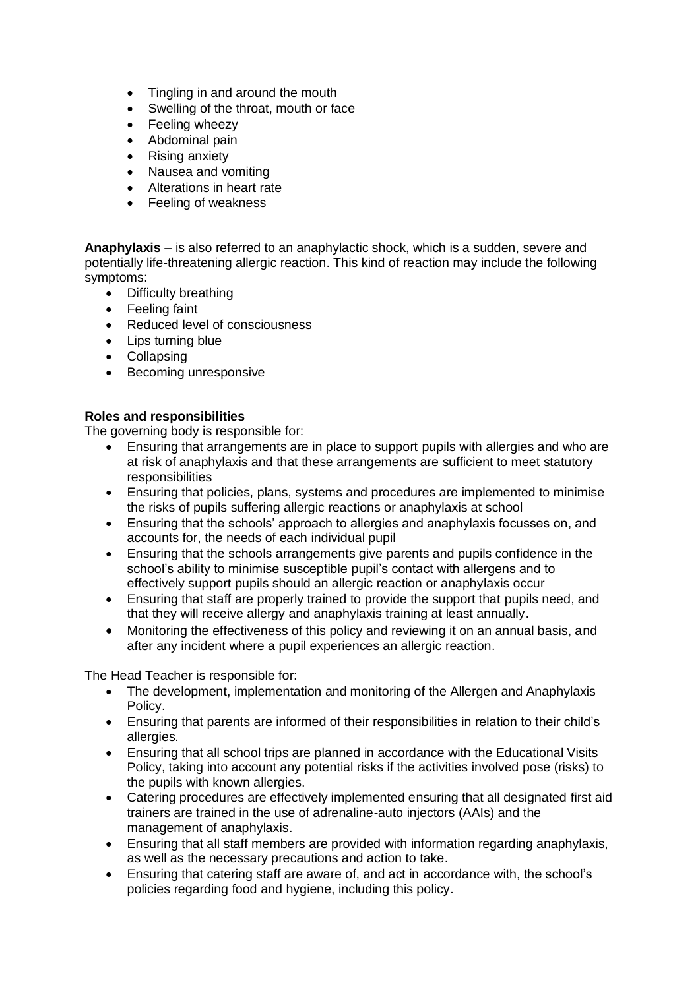- Tingling in and around the mouth
- Swelling of the throat, mouth or face
- Feeling wheezy
- Abdominal pain
- Rising anxiety
- Nausea and vomiting
- Alterations in heart rate
- Feeling of weakness

**Anaphylaxis** – is also referred to an anaphylactic shock, which is a sudden, severe and potentially life-threatening allergic reaction. This kind of reaction may include the following symptoms:

- Difficulty breathing
- Feeling faint
- Reduced level of consciousness
- Lips turning blue
- Collapsing
- Becoming unresponsive

## **Roles and responsibilities**

The governing body is responsible for:

- Ensuring that arrangements are in place to support pupils with allergies and who are at risk of anaphylaxis and that these arrangements are sufficient to meet statutory responsibilities
- Ensuring that policies, plans, systems and procedures are implemented to minimise the risks of pupils suffering allergic reactions or anaphylaxis at school
- Ensuring that the schools' approach to allergies and anaphylaxis focusses on, and accounts for, the needs of each individual pupil
- Ensuring that the schools arrangements give parents and pupils confidence in the school's ability to minimise susceptible pupil's contact with allergens and to effectively support pupils should an allergic reaction or anaphylaxis occur
- Ensuring that staff are properly trained to provide the support that pupils need, and that they will receive allergy and anaphylaxis training at least annually.
- Monitoring the effectiveness of this policy and reviewing it on an annual basis, and after any incident where a pupil experiences an allergic reaction.

The Head Teacher is responsible for:

- The development, implementation and monitoring of the Allergen and Anaphylaxis Policy.
- Ensuring that parents are informed of their responsibilities in relation to their child's allergies.
- Ensuring that all school trips are planned in accordance with the Educational Visits Policy, taking into account any potential risks if the activities involved pose (risks) to the pupils with known allergies.
- Catering procedures are effectively implemented ensuring that all designated first aid trainers are trained in the use of adrenaline-auto injectors (AAIs) and the management of anaphylaxis.
- Ensuring that all staff members are provided with information regarding anaphylaxis, as well as the necessary precautions and action to take.
- Ensuring that catering staff are aware of, and act in accordance with, the school's policies regarding food and hygiene, including this policy.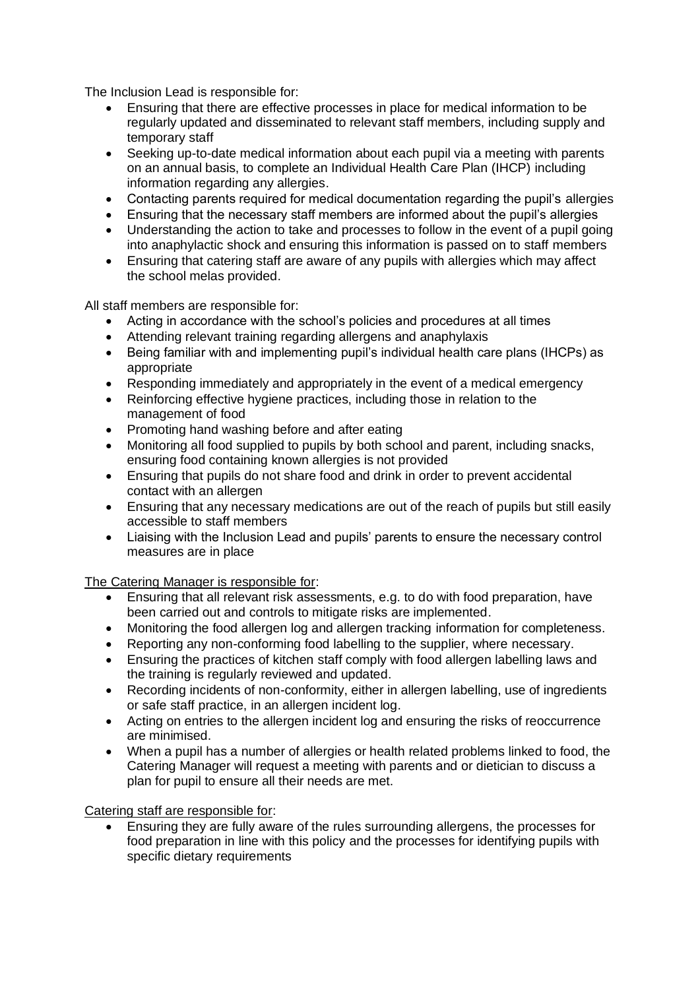The Inclusion Lead is responsible for:

- Ensuring that there are effective processes in place for medical information to be regularly updated and disseminated to relevant staff members, including supply and temporary staff
- Seeking up-to-date medical information about each pupil via a meeting with parents on an annual basis, to complete an Individual Health Care Plan (IHCP) including information regarding any allergies.
- Contacting parents required for medical documentation regarding the pupil's allergies
- Ensuring that the necessary staff members are informed about the pupil's allergies
- Understanding the action to take and processes to follow in the event of a pupil going into anaphylactic shock and ensuring this information is passed on to staff members
- Ensuring that catering staff are aware of any pupils with allergies which may affect the school melas provided.

All staff members are responsible for:

- Acting in accordance with the school's policies and procedures at all times
- Attending relevant training regarding allergens and anaphylaxis
- Being familiar with and implementing pupil's individual health care plans (IHCPs) as appropriate
- Responding immediately and appropriately in the event of a medical emergency
- Reinforcing effective hygiene practices, including those in relation to the management of food
- Promoting hand washing before and after eating
- Monitoring all food supplied to pupils by both school and parent, including snacks, ensuring food containing known allergies is not provided
- Ensuring that pupils do not share food and drink in order to prevent accidental contact with an allergen
- Ensuring that any necessary medications are out of the reach of pupils but still easily accessible to staff members
- Liaising with the Inclusion Lead and pupils' parents to ensure the necessary control measures are in place

The Catering Manager is responsible for:

- Ensuring that all relevant risk assessments, e.g. to do with food preparation, have been carried out and controls to mitigate risks are implemented.
- Monitoring the food allergen log and allergen tracking information for completeness.
- Reporting any non-conforming food labelling to the supplier, where necessary.
- Ensuring the practices of kitchen staff comply with food allergen labelling laws and the training is regularly reviewed and updated.
- Recording incidents of non-conformity, either in allergen labelling, use of ingredients or safe staff practice, in an allergen incident log.
- Acting on entries to the allergen incident log and ensuring the risks of reoccurrence are minimised.
- When a pupil has a number of allergies or health related problems linked to food, the Catering Manager will request a meeting with parents and or dietician to discuss a plan for pupil to ensure all their needs are met.

Catering staff are responsible for:

• Ensuring they are fully aware of the rules surrounding allergens, the processes for food preparation in line with this policy and the processes for identifying pupils with specific dietary requirements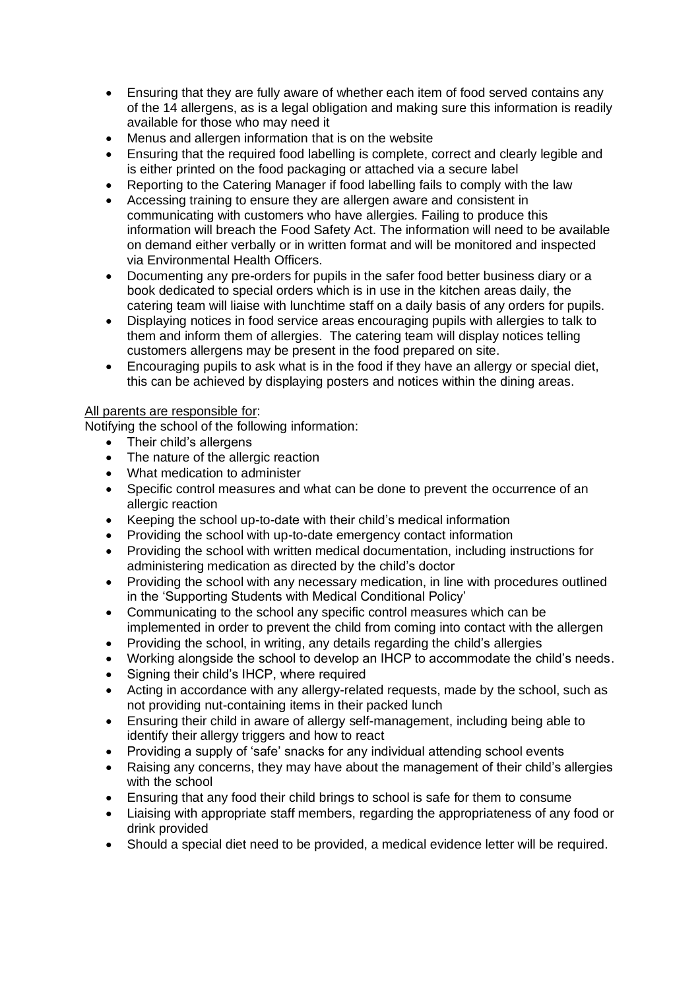- Ensuring that they are fully aware of whether each item of food served contains any of the 14 allergens, as is a legal obligation and making sure this information is readily available for those who may need it
- Menus and allergen information that is on the website
- Ensuring that the required food labelling is complete, correct and clearly legible and is either printed on the food packaging or attached via a secure label
- Reporting to the Catering Manager if food labelling fails to comply with the law
- Accessing training to ensure they are allergen aware and consistent in communicating with customers who have allergies. Failing to produce this information will breach the Food Safety Act. The information will need to be available on demand either verbally or in written format and will be monitored and inspected via Environmental Health Officers.
- Documenting any pre-orders for pupils in the safer food better business diary or a book dedicated to special orders which is in use in the kitchen areas daily, the catering team will liaise with lunchtime staff on a daily basis of any orders for pupils.
- Displaying notices in food service areas encouraging pupils with allergies to talk to them and inform them of allergies. The catering team will display notices telling customers allergens may be present in the food prepared on site.
- Encouraging pupils to ask what is in the food if they have an allergy or special diet, this can be achieved by displaying posters and notices within the dining areas.

## All parents are responsible for:

Notifying the school of the following information:

- Their child's allergens
- The nature of the allergic reaction
- What medication to administer
- Specific control measures and what can be done to prevent the occurrence of an allergic reaction
- Keeping the school up-to-date with their child's medical information
- Providing the school with up-to-date emergency contact information
- Providing the school with written medical documentation, including instructions for administering medication as directed by the child's doctor
- Providing the school with any necessary medication, in line with procedures outlined in the 'Supporting Students with Medical Conditional Policy'
- Communicating to the school any specific control measures which can be implemented in order to prevent the child from coming into contact with the allergen
- Providing the school, in writing, any details regarding the child's allergies
- Working alongside the school to develop an IHCP to accommodate the child's needs.
- Signing their child's IHCP, where required
- Acting in accordance with any allergy-related requests, made by the school, such as not providing nut-containing items in their packed lunch
- Ensuring their child in aware of allergy self-management, including being able to identify their allergy triggers and how to react
- Providing a supply of 'safe' snacks for any individual attending school events
- Raising any concerns, they may have about the management of their child's allergies with the school
- Ensuring that any food their child brings to school is safe for them to consume
- Liaising with appropriate staff members, regarding the appropriateness of any food or drink provided
- Should a special diet need to be provided, a medical evidence letter will be required.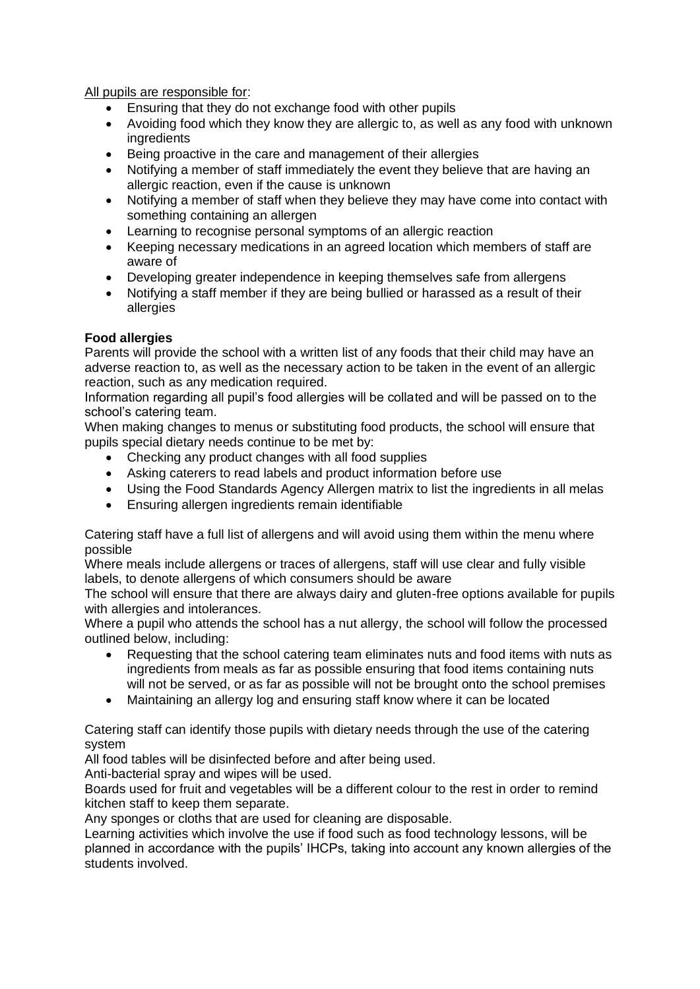All pupils are responsible for:

- Ensuring that they do not exchange food with other pupils
- Avoiding food which they know they are allergic to, as well as any food with unknown **ingredients**
- Being proactive in the care and management of their allergies
- Notifying a member of staff immediately the event they believe that are having an allergic reaction, even if the cause is unknown
- Notifying a member of staff when they believe they may have come into contact with something containing an allergen
- Learning to recognise personal symptoms of an allergic reaction
- Keeping necessary medications in an agreed location which members of staff are aware of
- Developing greater independence in keeping themselves safe from allergens
- Notifying a staff member if they are being bullied or harassed as a result of their allergies

# **Food allergies**

Parents will provide the school with a written list of any foods that their child may have an adverse reaction to, as well as the necessary action to be taken in the event of an allergic reaction, such as any medication required.

Information regarding all pupil's food allergies will be collated and will be passed on to the school's catering team.

When making changes to menus or substituting food products, the school will ensure that pupils special dietary needs continue to be met by:

- Checking any product changes with all food supplies
- Asking caterers to read labels and product information before use
- Using the Food Standards Agency Allergen matrix to list the ingredients in all melas
- Ensuring allergen ingredients remain identifiable

Catering staff have a full list of allergens and will avoid using them within the menu where possible

Where meals include allergens or traces of allergens, staff will use clear and fully visible labels, to denote allergens of which consumers should be aware

The school will ensure that there are always dairy and gluten-free options available for pupils with allergies and intolerances.

Where a pupil who attends the school has a nut allergy, the school will follow the processed outlined below, including:

- Requesting that the school catering team eliminates nuts and food items with nuts as ingredients from meals as far as possible ensuring that food items containing nuts will not be served, or as far as possible will not be brought onto the school premises
- Maintaining an allergy log and ensuring staff know where it can be located

Catering staff can identify those pupils with dietary needs through the use of the catering system

All food tables will be disinfected before and after being used.

Anti-bacterial spray and wipes will be used.

Boards used for fruit and vegetables will be a different colour to the rest in order to remind kitchen staff to keep them separate.

Any sponges or cloths that are used for cleaning are disposable.

Learning activities which involve the use if food such as food technology lessons, will be planned in accordance with the pupils' IHCPs, taking into account any known allergies of the students involved.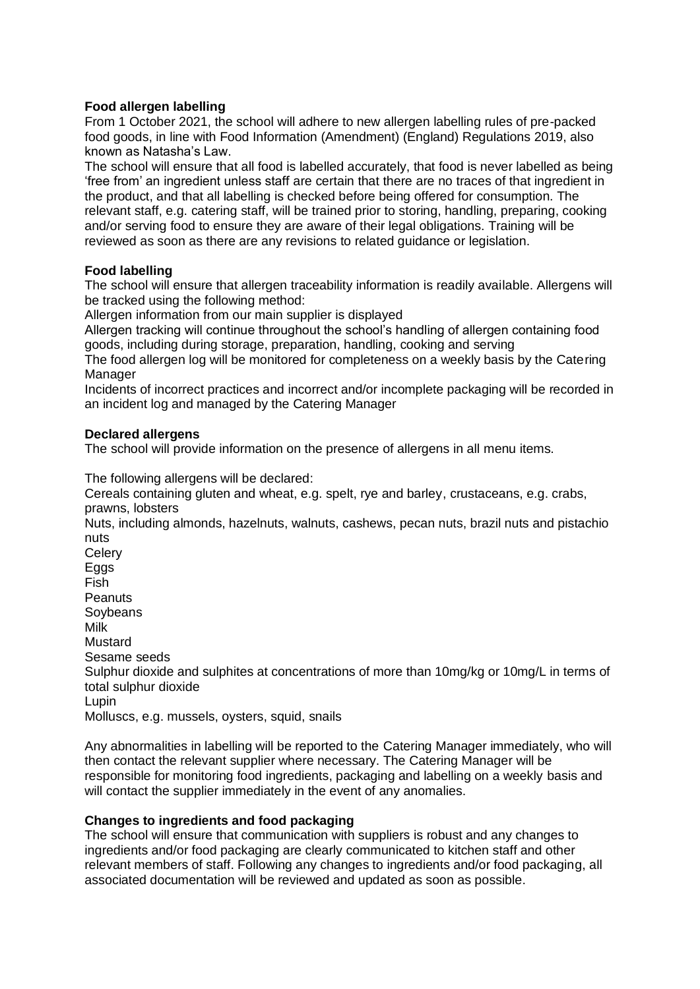## **Food allergen labelling**

From 1 October 2021, the school will adhere to new allergen labelling rules of pre-packed food goods, in line with Food Information (Amendment) (England) Regulations 2019, also known as Natasha's Law.

The school will ensure that all food is labelled accurately, that food is never labelled as being 'free from' an ingredient unless staff are certain that there are no traces of that ingredient in the product, and that all labelling is checked before being offered for consumption. The relevant staff, e.g. catering staff, will be trained prior to storing, handling, preparing, cooking and/or serving food to ensure they are aware of their legal obligations. Training will be reviewed as soon as there are any revisions to related guidance or legislation.

## **Food labelling**

The school will ensure that allergen traceability information is readily available. Allergens will be tracked using the following method:

Allergen information from our main supplier is displayed

Allergen tracking will continue throughout the school's handling of allergen containing food goods, including during storage, preparation, handling, cooking and serving

The food allergen log will be monitored for completeness on a weekly basis by the Catering Manager

Incidents of incorrect practices and incorrect and/or incomplete packaging will be recorded in an incident log and managed by the Catering Manager

#### **Declared allergens**

The school will provide information on the presence of allergens in all menu items.

The following allergens will be declared:

Cereals containing gluten and wheat, e.g. spelt, rye and barley, crustaceans, e.g. crabs, prawns, lobsters

Nuts, including almonds, hazelnuts, walnuts, cashews, pecan nuts, brazil nuts and pistachio nuts

**Celery** Eggs Fish **Peanuts Soybeans** Milk Mustard Sesame seeds Sulphur dioxide and sulphites at concentrations of more than 10mg/kg or 10mg/L in terms of total sulphur dioxide Lupin Molluscs, e.g. mussels, ovsters, squid, snails

Any abnormalities in labelling will be reported to the Catering Manager immediately, who will then contact the relevant supplier where necessary. The Catering Manager will be responsible for monitoring food ingredients, packaging and labelling on a weekly basis and will contact the supplier immediately in the event of any anomalies.

# **Changes to ingredients and food packaging**

The school will ensure that communication with suppliers is robust and any changes to ingredients and/or food packaging are clearly communicated to kitchen staff and other relevant members of staff. Following any changes to ingredients and/or food packaging, all associated documentation will be reviewed and updated as soon as possible.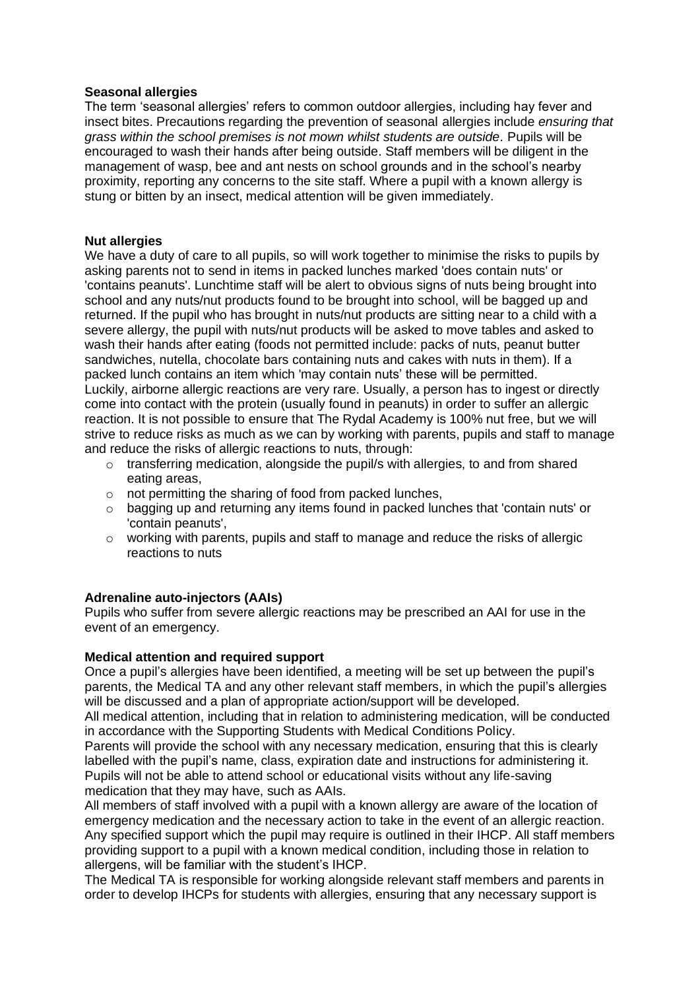#### **Seasonal allergies**

The term 'seasonal allergies' refers to common outdoor allergies, including hay fever and insect bites. Precautions regarding the prevention of seasonal allergies include *ensuring that grass within the school premises is not mown whilst students are outside.* Pupils will be encouraged to wash their hands after being outside. Staff members will be diligent in the management of wasp, bee and ant nests on school grounds and in the school's nearby proximity, reporting any concerns to the site staff. Where a pupil with a known allergy is stung or bitten by an insect, medical attention will be given immediately.

## **Nut allergies**

We have a duty of care to all pupils, so will work together to minimise the risks to pupils by asking parents not to send in items in packed lunches marked 'does contain nuts' or 'contains peanuts'. Lunchtime staff will be alert to obvious signs of nuts being brought into school and any nuts/nut products found to be brought into school, will be bagged up and returned. If the pupil who has brought in nuts/nut products are sitting near to a child with a severe allergy, the pupil with nuts/nut products will be asked to move tables and asked to wash their hands after eating (foods not permitted include: packs of nuts, peanut butter sandwiches, nutella, chocolate bars containing nuts and cakes with nuts in them). If a packed lunch contains an item which 'may contain nuts' these will be permitted. Luckily, airborne allergic reactions are very rare. Usually, a person has to ingest or directly come into contact with the protein (usually found in peanuts) in order to suffer an allergic reaction. It is not possible to ensure that The Rydal Academy is 100% nut free, but we will strive to reduce risks as much as we can by working with parents, pupils and staff to manage and reduce the risks of allergic reactions to nuts, through:

- $\circ$  transferring medication, alongside the pupil/s with allergies, to and from shared eating areas,
- o not permitting the sharing of food from packed lunches,
- $\circ$  bagging up and returning any items found in packed lunches that 'contain nuts' or 'contain peanuts',
- $\circ$  working with parents, pupils and staff to manage and reduce the risks of allergic reactions to nuts

## **Adrenaline auto-injectors (AAIs)**

Pupils who suffer from severe allergic reactions may be prescribed an AAI for use in the event of an emergency.

#### **Medical attention and required support**

Once a pupil's allergies have been identified, a meeting will be set up between the pupil's parents, the Medical TA and any other relevant staff members, in which the pupil's allergies will be discussed and a plan of appropriate action/support will be developed.

All medical attention, including that in relation to administering medication, will be conducted in accordance with the Supporting Students with Medical Conditions Policy.

Parents will provide the school with any necessary medication, ensuring that this is clearly labelled with the pupil's name, class, expiration date and instructions for administering it. Pupils will not be able to attend school or educational visits without any life-saving medication that they may have, such as AAIs.

All members of staff involved with a pupil with a known allergy are aware of the location of emergency medication and the necessary action to take in the event of an allergic reaction. Any specified support which the pupil may require is outlined in their IHCP. All staff members providing support to a pupil with a known medical condition, including those in relation to allergens, will be familiar with the student's IHCP.

The Medical TA is responsible for working alongside relevant staff members and parents in order to develop IHCPs for students with allergies, ensuring that any necessary support is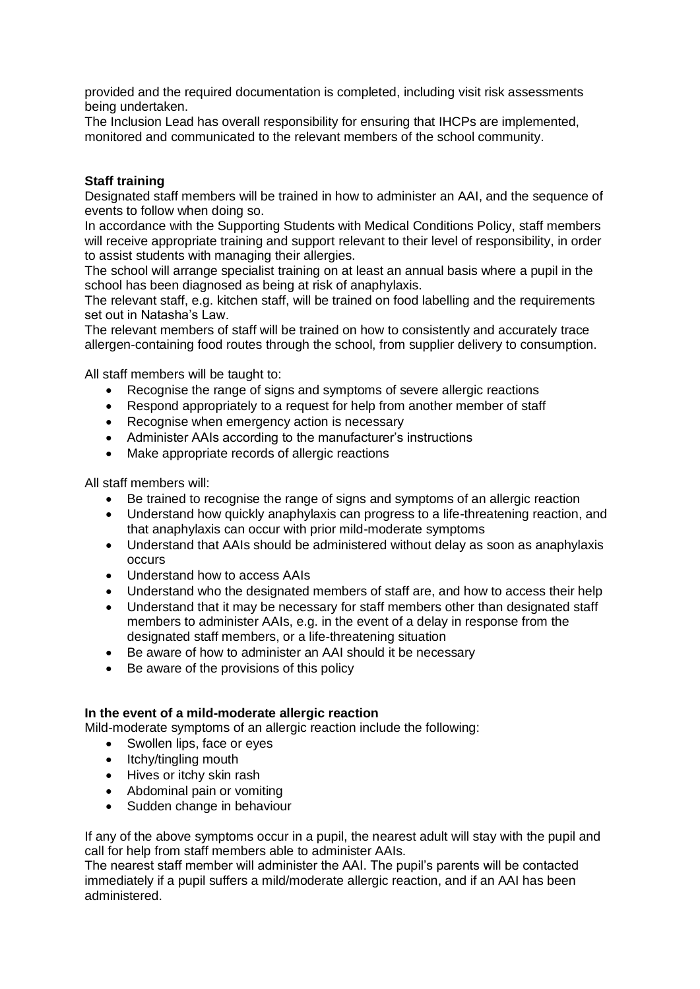provided and the required documentation is completed, including visit risk assessments being undertaken.

The Inclusion Lead has overall responsibility for ensuring that IHCPs are implemented, monitored and communicated to the relevant members of the school community.

## **Staff training**

Designated staff members will be trained in how to administer an AAI, and the sequence of events to follow when doing so.

In accordance with the Supporting Students with Medical Conditions Policy, staff members will receive appropriate training and support relevant to their level of responsibility, in order to assist students with managing their allergies.

The school will arrange specialist training on at least an annual basis where a pupil in the school has been diagnosed as being at risk of anaphylaxis.

The relevant staff, e.g. kitchen staff, will be trained on food labelling and the requirements set out in Natasha's Law.

The relevant members of staff will be trained on how to consistently and accurately trace allergen-containing food routes through the school, from supplier delivery to consumption.

All staff members will be taught to:

- Recognise the range of signs and symptoms of severe allergic reactions
- Respond appropriately to a request for help from another member of staff
- Recognise when emergency action is necessary
- Administer AAIs according to the manufacturer's instructions
- Make appropriate records of allergic reactions

All staff members will:

- Be trained to recognise the range of signs and symptoms of an allergic reaction
- Understand how quickly anaphylaxis can progress to a life-threatening reaction, and that anaphylaxis can occur with prior mild-moderate symptoms
- Understand that AAIs should be administered without delay as soon as anaphylaxis occurs
- Understand how to access AAIs
- Understand who the designated members of staff are, and how to access their help
- Understand that it may be necessary for staff members other than designated staff members to administer AAIs, e.g. in the event of a delay in response from the designated staff members, or a life-threatening situation
- Be aware of how to administer an AAI should it be necessary
- Be aware of the provisions of this policy

#### **In the event of a mild-moderate allergic reaction**

Mild-moderate symptoms of an allergic reaction include the following:

- Swollen lips, face or eyes
- Itchy/tingling mouth
- Hives or itchy skin rash
- Abdominal pain or vomiting
- Sudden change in behaviour

If any of the above symptoms occur in a pupil, the nearest adult will stay with the pupil and call for help from staff members able to administer AAIs.

The nearest staff member will administer the AAI. The pupil's parents will be contacted immediately if a pupil suffers a mild/moderate allergic reaction, and if an AAI has been administered.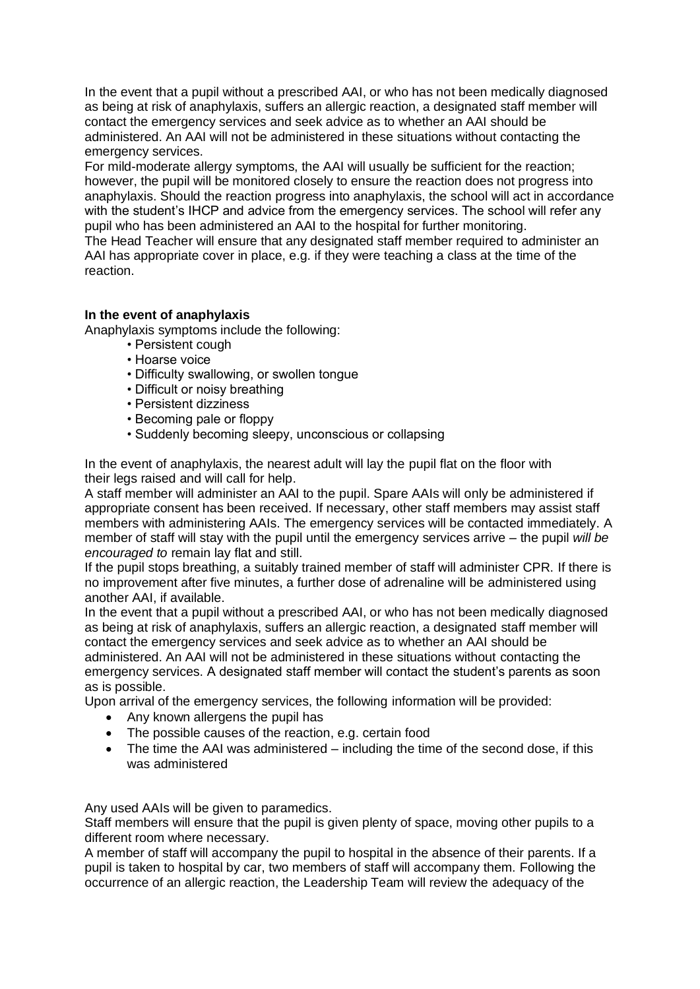In the event that a pupil without a prescribed AAI, or who has not been medically diagnosed as being at risk of anaphylaxis, suffers an allergic reaction, a designated staff member will contact the emergency services and seek advice as to whether an AAI should be administered. An AAI will not be administered in these situations without contacting the emergency services.

For mild-moderate allergy symptoms, the AAI will usually be sufficient for the reaction; however, the pupil will be monitored closely to ensure the reaction does not progress into anaphylaxis. Should the reaction progress into anaphylaxis, the school will act in accordance with the student's IHCP and advice from the emergency services. The school will refer any pupil who has been administered an AAI to the hospital for further monitoring.

The Head Teacher will ensure that any designated staff member required to administer an AAI has appropriate cover in place, e.g. if they were teaching a class at the time of the reaction.

## **In the event of anaphylaxis**

Anaphylaxis symptoms include the following:

- Persistent cough
- Hoarse voice
- Difficulty swallowing, or swollen tongue
- Difficult or noisy breathing
- Persistent dizziness
- Becoming pale or floppy
- Suddenly becoming sleepy, unconscious or collapsing

In the event of anaphylaxis, the nearest adult will lay the pupil flat on the floor with their legs raised and will call for help.

A staff member will administer an AAI to the pupil. Spare AAIs will only be administered if appropriate consent has been received. If necessary, other staff members may assist staff members with administering AAIs. The emergency services will be contacted immediately. A member of staff will stay with the pupil until the emergency services arrive – the pupil *will be encouraged to* remain lay flat and still.

If the pupil stops breathing, a suitably trained member of staff will administer CPR. If there is no improvement after five minutes, a further dose of adrenaline will be administered using another AAI, if available.

In the event that a pupil without a prescribed AAI, or who has not been medically diagnosed as being at risk of anaphylaxis, suffers an allergic reaction, a designated staff member will contact the emergency services and seek advice as to whether an AAI should be administered. An AAI will not be administered in these situations without contacting the emergency services. A designated staff member will contact the student's parents as soon as is possible.

Upon arrival of the emergency services, the following information will be provided:

- Any known allergens the pupil has
- The possible causes of the reaction, e.g. certain food
- The time the AAI was administered including the time of the second dose, if this was administered

Any used AAIs will be given to paramedics.

Staff members will ensure that the pupil is given plenty of space, moving other pupils to a different room where necessary.

A member of staff will accompany the pupil to hospital in the absence of their parents. If a pupil is taken to hospital by car, two members of staff will accompany them. Following the occurrence of an allergic reaction, the Leadership Team will review the adequacy of the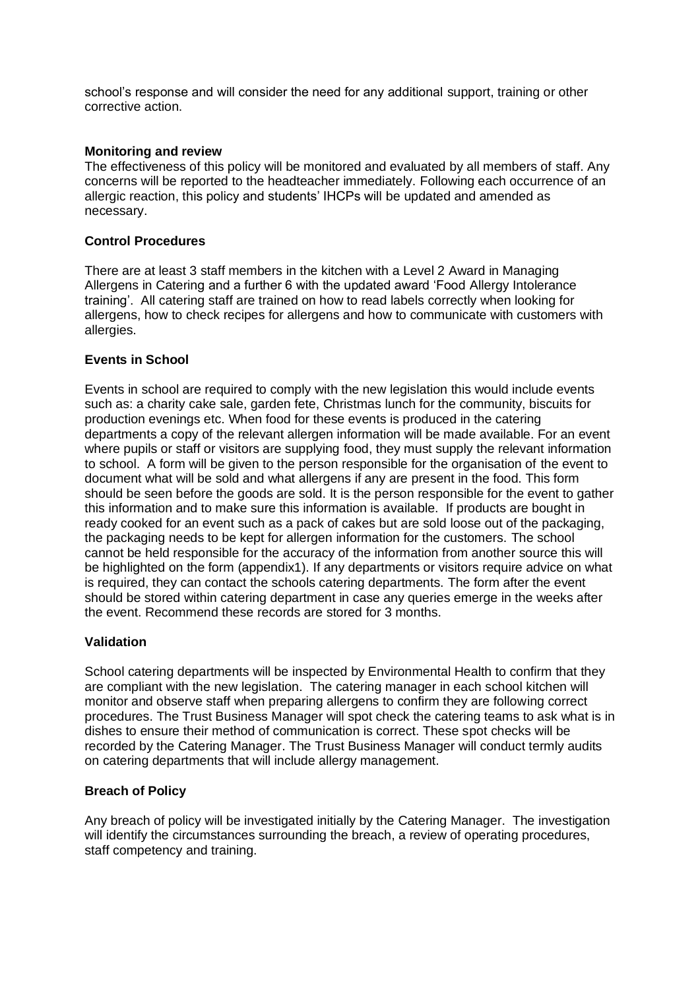school's response and will consider the need for any additional support, training or other corrective action.

#### **Monitoring and review**

The effectiveness of this policy will be monitored and evaluated by all members of staff. Any concerns will be reported to the headteacher immediately. Following each occurrence of an allergic reaction, this policy and students' IHCPs will be updated and amended as necessary.

#### **Control Procedures**

There are at least 3 staff members in the kitchen with a Level 2 Award in Managing Allergens in Catering and a further 6 with the updated award 'Food Allergy Intolerance training'. All catering staff are trained on how to read labels correctly when looking for allergens, how to check recipes for allergens and how to communicate with customers with allergies.

#### **Events in School**

Events in school are required to comply with the new legislation this would include events such as: a charity cake sale, garden fete, Christmas lunch for the community, biscuits for production evenings etc. When food for these events is produced in the catering departments a copy of the relevant allergen information will be made available. For an event where pupils or staff or visitors are supplying food, they must supply the relevant information to school. A form will be given to the person responsible for the organisation of the event to document what will be sold and what allergens if any are present in the food. This form should be seen before the goods are sold. It is the person responsible for the event to gather this information and to make sure this information is available. If products are bought in ready cooked for an event such as a pack of cakes but are sold loose out of the packaging, the packaging needs to be kept for allergen information for the customers. The school cannot be held responsible for the accuracy of the information from another source this will be highlighted on the form (appendix1). If any departments or visitors require advice on what is required, they can contact the schools catering departments. The form after the event should be stored within catering department in case any queries emerge in the weeks after the event. Recommend these records are stored for 3 months.

## **Validation**

School catering departments will be inspected by Environmental Health to confirm that they are compliant with the new legislation. The catering manager in each school kitchen will monitor and observe staff when preparing allergens to confirm they are following correct procedures. The Trust Business Manager will spot check the catering teams to ask what is in dishes to ensure their method of communication is correct. These spot checks will be recorded by the Catering Manager. The Trust Business Manager will conduct termly audits on catering departments that will include allergy management.

#### **Breach of Policy**

Any breach of policy will be investigated initially by the Catering Manager. The investigation will identify the circumstances surrounding the breach, a review of operating procedures, staff competency and training.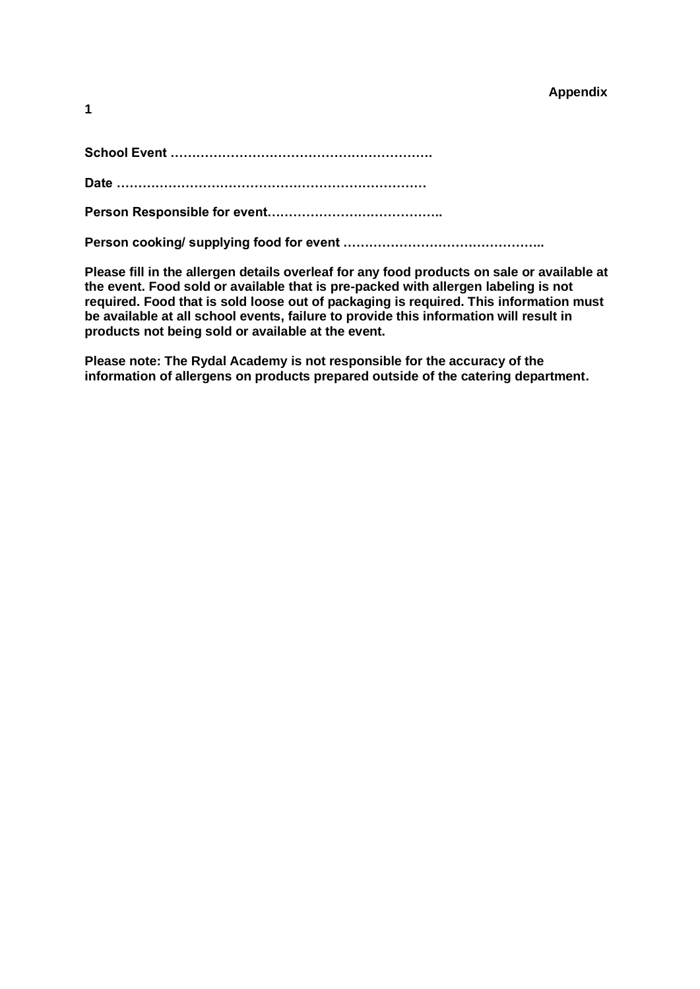| ï<br>۰. |  |  |
|---------|--|--|
|         |  |  |

|--|--|

**Date ………………………………………………………………**

**Person Responsible for event…………………………………..**

**Person cooking/ supplying food for event ………………………………………..**

**Please fill in the allergen details overleaf for any food products on sale or available at the event. Food sold or available that is pre-packed with allergen labeling is not required. Food that is sold loose out of packaging is required. This information must be available at all school events, failure to provide this information will result in products not being sold or available at the event.**

**Please note: The Rydal Academy is not responsible for the accuracy of the information of allergens on products prepared outside of the catering department.**